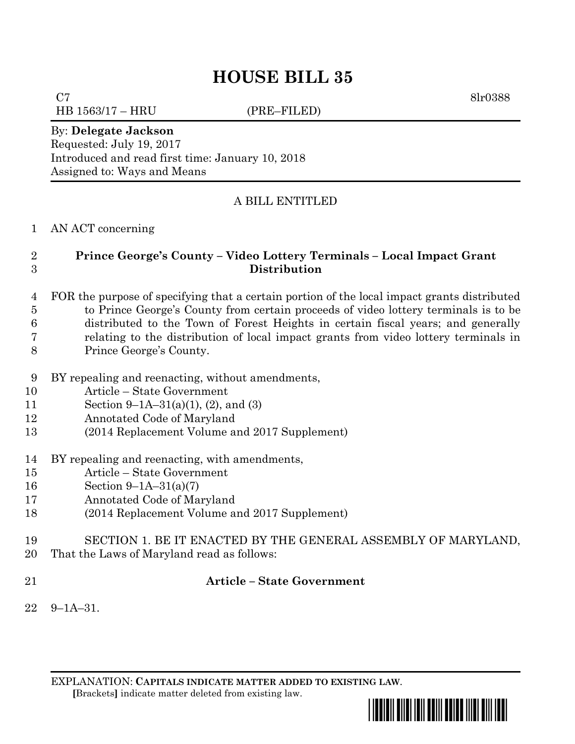# **HOUSE BILL 35**

 $C7$  8lr0388 HB 1563/17 – HRU (PRE–FILED)

#### By: **Delegate Jackson**

Requested: July 19, 2017 Introduced and read first time: January 10, 2018 Assigned to: Ways and Means

## A BILL ENTITLED

### AN ACT concerning

## **Prince George's County – Video Lottery Terminals – Local Impact Grant Distribution**

- FOR the purpose of specifying that a certain portion of the local impact grants distributed to Prince George's County from certain proceeds of video lottery terminals is to be distributed to the Town of Forest Heights in certain fiscal years; and generally relating to the distribution of local impact grants from video lottery terminals in Prince George's County.
- BY repealing and reenacting, without amendments,
- Article State Government
- Section 9–1A–31(a)(1), (2), and (3)
- Annotated Code of Maryland
- (2014 Replacement Volume and 2017 Supplement)
- BY repealing and reenacting, with amendments,
- Article State Government
- Section 9–1A–31(a)(7)
- Annotated Code of Maryland
- (2014 Replacement Volume and 2017 Supplement)
- SECTION 1. BE IT ENACTED BY THE GENERAL ASSEMBLY OF MARYLAND,
- That the Laws of Maryland read as follows:
- 

## **Article – State Government**

9–1A–31.

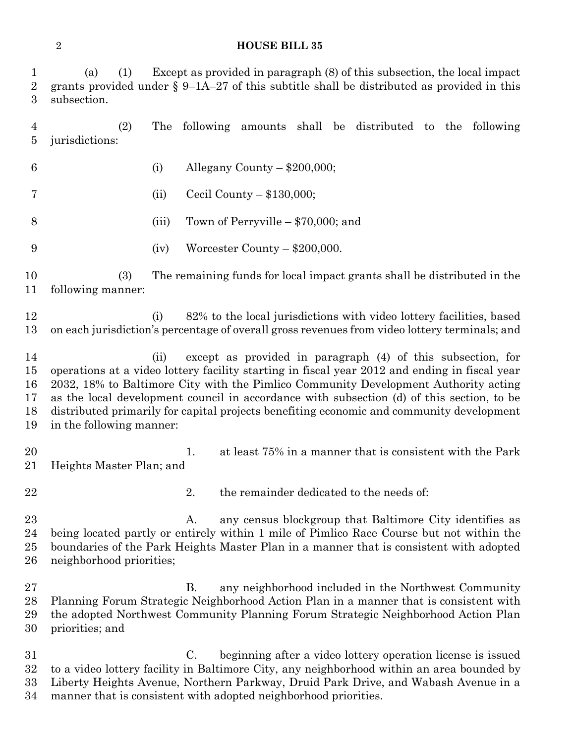#### **HOUSE BILL 35**

| $\mathbf 1$<br>$\overline{2}$<br>3 | Except as provided in paragraph (8) of this subsection, the local impact<br>(a)<br>(1)<br>grants provided under $\S 9$ –1A–27 of this subtitle shall be distributed as provided in this<br>subsection.                                                                                                                                                                                                                                                                           |       |    |                                      |  |  |                                                             |  |  |  |
|------------------------------------|----------------------------------------------------------------------------------------------------------------------------------------------------------------------------------------------------------------------------------------------------------------------------------------------------------------------------------------------------------------------------------------------------------------------------------------------------------------------------------|-------|----|--------------------------------------|--|--|-------------------------------------------------------------|--|--|--|
| 4<br>5                             | (2)<br>jurisdictions:                                                                                                                                                                                                                                                                                                                                                                                                                                                            | The   |    |                                      |  |  | following amounts shall be distributed to the following     |  |  |  |
| 6                                  |                                                                                                                                                                                                                                                                                                                                                                                                                                                                                  | (i)   |    | Allegany County $-$ \$200,000;       |  |  |                                                             |  |  |  |
| 7                                  |                                                                                                                                                                                                                                                                                                                                                                                                                                                                                  | (ii)  |    | Cecil County $-$ \$130,000;          |  |  |                                                             |  |  |  |
| 8                                  |                                                                                                                                                                                                                                                                                                                                                                                                                                                                                  | (iii) |    | Town of Perryville $-$ \$70,000; and |  |  |                                                             |  |  |  |
| 9                                  |                                                                                                                                                                                                                                                                                                                                                                                                                                                                                  | (iv)  |    | Worcester County - \$200,000.        |  |  |                                                             |  |  |  |
| 10<br>11                           | (3)<br>The remaining funds for local impact grants shall be distributed in the<br>following manner:                                                                                                                                                                                                                                                                                                                                                                              |       |    |                                      |  |  |                                                             |  |  |  |
| 12<br>13                           | 82% to the local jurisdictions with video lottery facilities, based<br>(i)<br>on each jurisdiction's percentage of overall gross revenues from video lottery terminals; and                                                                                                                                                                                                                                                                                                      |       |    |                                      |  |  |                                                             |  |  |  |
| 14<br>15<br>16<br>17<br>18<br>19   | except as provided in paragraph (4) of this subsection, for<br>(ii)<br>operations at a video lottery facility starting in fiscal year 2012 and ending in fiscal year<br>2032, 18% to Baltimore City with the Pimlico Community Development Authority acting<br>as the local development council in accordance with subsection (d) of this section, to be<br>distributed primarily for capital projects benefiting economic and community development<br>in the following manner: |       |    |                                      |  |  |                                                             |  |  |  |
| 20<br>21                           | Heights Master Plan; and                                                                                                                                                                                                                                                                                                                                                                                                                                                         |       | 1. |                                      |  |  | at least 75% in a manner that is consistent with the Park   |  |  |  |
| 22                                 |                                                                                                                                                                                                                                                                                                                                                                                                                                                                                  |       | 2. |                                      |  |  | the remainder dedicated to the needs of:                    |  |  |  |
| 23<br>24<br>$25\,$<br>26           | any census blockgroup that Baltimore City identifies as<br>А.<br>being located partly or entirely within 1 mile of Pimlico Race Course but not within the<br>boundaries of the Park Heights Master Plan in a manner that is consistent with adopted<br>neighborhood priorities;                                                                                                                                                                                                  |       |    |                                      |  |  |                                                             |  |  |  |
| $27\,$<br>28<br>29<br>30           | Planning Forum Strategic Neighborhood Action Plan in a manner that is consistent with<br>the adopted Northwest Community Planning Forum Strategic Neighborhood Action Plan<br>priorities; and                                                                                                                                                                                                                                                                                    |       | В. |                                      |  |  | any neighborhood included in the Northwest Community        |  |  |  |
| 31<br>$32\,$                       | to a video lottery facility in Baltimore City, any neighborhood within an area bounded by                                                                                                                                                                                                                                                                                                                                                                                        |       | C. |                                      |  |  | beginning after a video lottery operation license is issued |  |  |  |

Liberty Heights Avenue, Northern Parkway, Druid Park Drive, and Wabash Avenue in a

manner that is consistent with adopted neighborhood priorities.